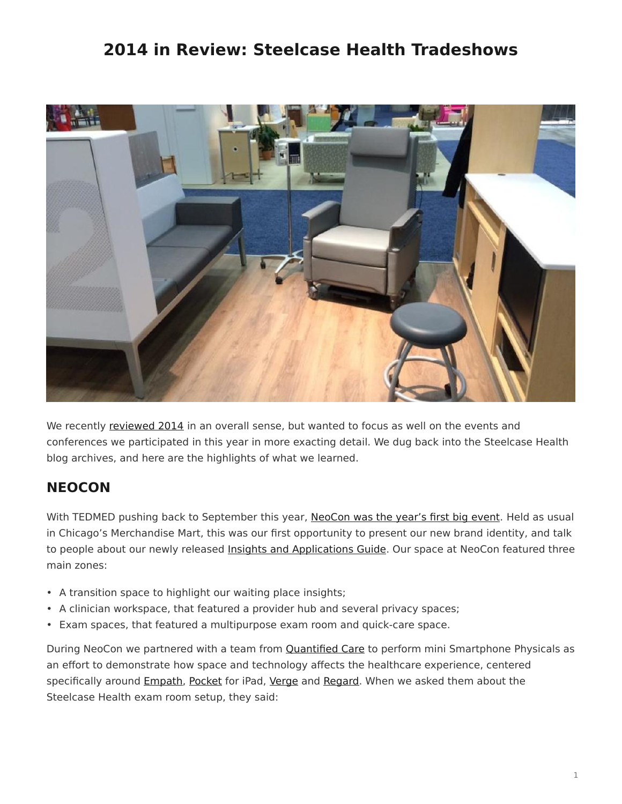# <span id="page-0-0"></span>**2014 in Review: Steelcase Health Tradeshows**



We recently [reviewed 2014](/blog/2014-in-review-a-time-for-change-in-healthcare/) in an overall sense, but wanted to focus as well on the events and conferences we participated in this year in more exacting detail. We dug back into the Steelcase Health blog archives, and here are the highlights of what we learned.

## **NEOCON**

With TEDMED pushing back to September this year, [NeoCon was the year's first big event](/blog/discover-steelcase-health-at-neocon-2014/). Held as usual in Chicago's Merchandise Mart, this was our first opportunity to present our new brand identity, and talk to people about our newly released [Insights and Applications Guide](https://www.steelcase.com/resources/documents/steelcase-health-time-change-insights-applications-guide/). Our space at NeoCon featured three main zones:

- A transition space to highlight our waiting place insights;
- A clinician workspace, that featured a provider hub and several privacy spaces;
- Exam spaces, that featured a multipurpose exam room and quick-care space.

During NeoCon we partnered with a team from [Quantified Care](https://www.quantifiedcare.com/) to perform mini Smartphone Physicals as an effort to demonstrate how space and technology affects the healthcare experience, centered specifically around [Empath,](https://www.steelcase.com/products/patient-bariatric-chairs/empath/) [Pocket](https://www.steelcase.com/products/tables/pocket/) for iPad, [Verge](https://www.steelcase.com/products/healthcare-seating/verge/) and [Regard.](https://www.steelcase.com/products/bookcases-cabinets/regard/) When we asked them about the Steelcase Health exam room setup, they said: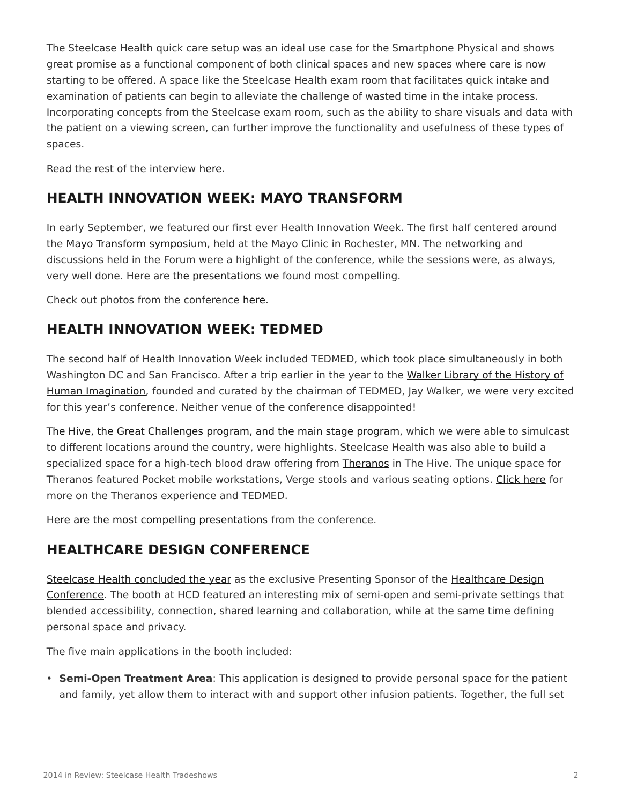The Steelcase Health quick care setup was an ideal use case for the Smartphone Physical and shows great promise as a functional component of both clinical spaces and new spaces where care is now starting to be offered. A space like the Steelcase Health exam room that facilitates quick intake and examination of patients can begin to alleviate the challenge of wasted time in the intake process. Incorporating concepts from the Steelcase exam room, such as the ability to share visuals and data with the patient on a viewing screen, can further improve the functionality and usefulness of these types of spaces.

Read the rest of the interview [here](/blog/medical-technology-and-space-collide-at-neocon-2014/).

### **HEALTH INNOVATION WEEK: MAYO TRANSFORM**

In early September, we featured our first ever Health Innovation Week. The first half centered around the [Mayo Transform symposium,](/blog/health-innovation-week-part-1-transform-2014/) held at the Mayo Clinic in Rochester, MN. The networking and discussions held in the Forum were a highlight of the conference, while the sessions were, as always, very well done. Here are [the presentations](/blog/health-innovation-week-takeaways-from-mayo-transform-and-tedmed/) we found most compelling.

Check out photos from the conference [here](/blog/transform-2014-on-the-ground/).

#### **HEALTH INNOVATION WEEK: TEDMED**

The second half of Health Innovation Week included TEDMED, which took place simultaneously in both Washington DC and San Francisco. After a trip earlier in the year to the [Walker Library of the History of](/blog/tedmed-expands-reach-for-healthcare-innovation/) [Human Imagination](/blog/tedmed-expands-reach-for-healthcare-innovation/), founded and curated by the chairman of TEDMED, Jay Walker, we were very excited for this year's conference. Neither venue of the conference disappointed!

[The Hive, the Great Challenges program, and the main stage program,](https://www.steelcase.com/blog/health-innovation-week-part-2-tedmed-2014/) which we were able to simulcast to different locations around the country, were highlights. Steelcase Health was also able to build a specialized space for a high-tech blood draw offering from [Theranos](http://www.theranos.com/) in The Hive. The unique space for Theranos featured Pocket mobile workstations, Verge stools and various seating options. [Click here](/blog/tedmed-2014-on-the-ground/) for more on the Theranos experience and TEDMED.

[Here are the most compelling presentations](/blog/health-innovation-week-takeaways-from-mayo-transform-and-tedmed/) from the conference.

#### **HEALTHCARE DESIGN CONFERENCE**

[Steelcase Health concluded the year](https://www.steelcase.com/blog/healthcare-design-conference-2014/) as the exclusive Presenting Sponsor of the [Healthcare Design](http://www.healthcaredesignmagazine.com/conference/healthcare-design-conference) [Conference](http://www.healthcaredesignmagazine.com/conference/healthcare-design-conference). The booth at HCD featured an interesting mix of semi-open and semi-private settings that blended accessibility, connection, shared learning and collaboration, while at the same time defining personal space and privacy.

The five main applications in the booth included:

• **Semi-Open Treatment Area**: This application is designed to provide personal space for the patient and family, yet allow them to interact with and support other infusion patients. Together, the full set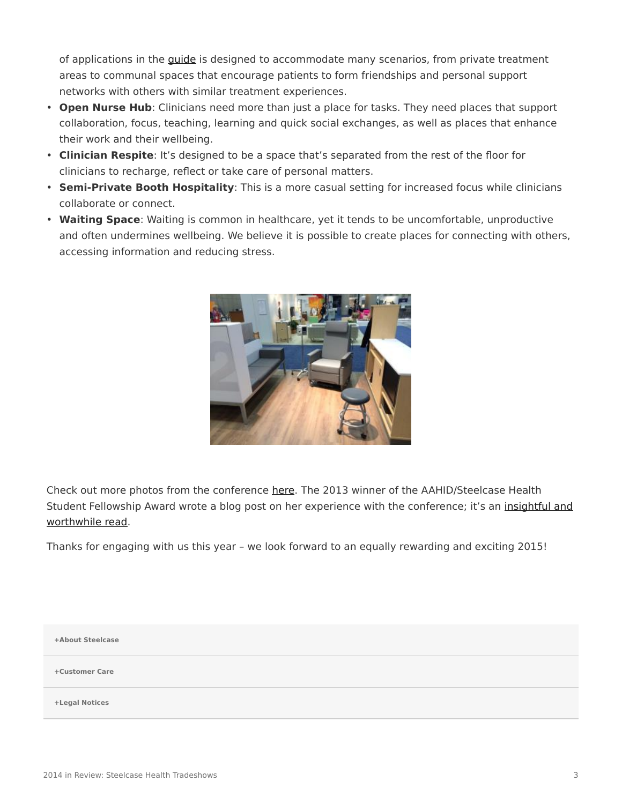of applications in the *[guide](https://www.steelcase.com/resources/documents/steelcase-health-time-change-insights-applications-guide/)* is designed to accommodate many scenarios, from private treatment areas to communal spaces that encourage patients to form friendships and personal support networks with others with similar treatment experiences.

- **Open Nurse Hub**: Clinicians need more than just a place for tasks. They need places that support collaboration, focus, teaching, learning and quick social exchanges, as well as places that enhance their work and their wellbeing.
- **Clinician Respite**: It's designed to be a space that's separated from the rest of the floor for clinicians to recharge, reflect or take care of personal matters.
- **Semi-Private Booth Hospitality**: This is a more casual setting for increased focus while clinicians collaborate or connect.
- **Waiting Space**: Waiting is common in healthcare, yet it tends to be uncomfortable, unproductive and often undermines wellbeing. We believe it is possible to create places for connecting with others, accessing information and reducing stress.



Check out more photos from the conference [here](/blog/healthcare-design-conference-2014-on-the-ground/). The 2013 winner of the AAHID/Steelcase Health Student Fellowship Award wrote a blog post on her experience with the conference; it's an [insightful and](/blog/beyond-ceus-the-value-of-the-healthcare-design-conference/) [worthwhile read](/blog/beyond-ceus-the-value-of-the-healthcare-design-conference/).

Thanks for engaging with us this year – we look forward to an equally rewarding and exciting 2015!

**[+About Steelcase](https://www.steelcase.com/discover/steelcase/our-company/)**

**[+Customer Care](#page-0-0)**

**[+Legal Notices](#page-0-0)**